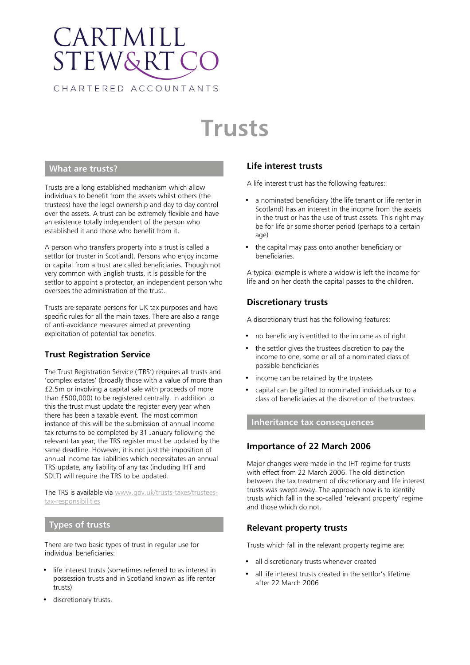# CARTMILL **STEW&RT** CHARTERED ACCOUNTANTS

# **Trusts**

## **What are trusts?**

Trusts are a long established mechanism which allow individuals to benefit from the assets whilst others (the trustees) have the legal ownership and day to day control over the assets. A trust can be extremely flexible and have an existence totally independent of the person who established it and those who benefit from it.

A person who transfers property into a trust is called a settlor (or truster in Scotland). Persons who enjoy income or capital from a trust are called beneficiaries. Though not very common with English trusts, it is possible for the settlor to appoint a protector, an independent person who oversees the administration of the trust.

Trusts are separate persons for UK tax purposes and have specific rules for all the main taxes. There are also a range of anti-avoidance measures aimed at preventing exploitation of potential tax benefits.

# **Trust Registration Service**

The Trust Registration Service ('TRS') requires all trusts and 'complex estates' (broadly those with a value of more than £2.5m or involving a capital sale with proceeds of more than £500,000) to be registered centrally. In addition to this the trust must update the register every year when there has been a taxable event. The most common instance of this will be the submission of annual income tax returns to be completed by 31 January following the relevant tax year; the TRS register must be updated by the same deadline. However, it is not just the imposition of annual income tax liabilities which necessitates an annual TRS update, any liability of any tax (including IHT and SDLT) will require the TRS to be updated.

The TRS is available via [www.gov.uk/trusts-taxes/trustees](https://www.gov.uk/trusts-taxes/trustees-tax-responsibilities)[tax-responsibilities](https://www.gov.uk/trusts-taxes/trustees-tax-responsibilities)

#### **Types of trusts**

There are two basic types of trust in regular use for individual beneficiaries:

- life interest trusts (sometimes referred to as interest in possession trusts and in Scotland known as life renter trusts)
- discretionary trusts.

# **Life interest trusts**

A life interest trust has the following features:

- a nominated beneficiary (the life tenant or life renter in Scotland) has an interest in the income from the assets in the trust or has the use of trust assets. This right may be for life or some shorter period (perhaps to a certain age)
- the capital may pass onto another beneficiary or beneficiaries.

A typical example is where a widow is left the income for life and on her death the capital passes to the children.

## **Discretionary trusts**

A discretionary trust has the following features:

- no beneficiary is entitled to the income as of right
- the settlor gives the trustees discretion to pay the income to one, some or all of a nominated class of possible beneficiaries
- income can be retained by the trustees
- capital can be gifted to nominated individuals or to a class of beneficiaries at the discretion of the trustees.

#### **Inheritance tax consequences**

#### **Importance of 22 March 2006**

Major changes were made in the IHT regime for trusts with effect from 22 March 2006. The old distinction between the tax treatment of discretionary and life interest trusts was swept away. The approach now is to identify trusts which fall in the so-called 'relevant property' regime and those which do not.

#### **Relevant property trusts**

Trusts which fall in the relevant property regime are:

- all discretionary trusts whenever created
- all life interest trusts created in the settlor's lifetime after 22 March 2006